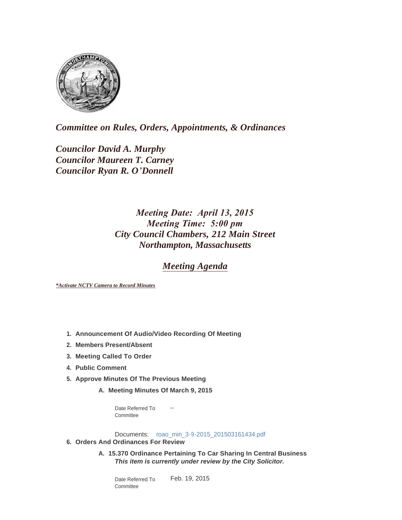

*Committee on Rules, Orders, Appointments, & Ordinances*

*Councilor David A. Murphy Councilor Maureen T. Carney Councilor Ryan R. O'Donnell*

# *Meeting Date: April 13, 2015 Meeting Time: 5:00 pm City Council Chambers, 212 Main Street Northampton, Massachusetts*

## *Meeting Agenda*

*\*Activate NCTV Camera to Record Minutes*

- **Announcement Of Audio/Video Recording Of Meeting 1.**
- **Members Present/Absent 2.**
- **Meeting Called To Order 3.**
- **Public Comment 4.**
- **Approve Minutes Of The Previous Meeting 5.**
	- **Meeting Minutes Of March 9, 2015 A.**

-- Date Referred To Committee

Documents: [roao\\_min\\_3-9-2015\\_201503161434.pdf](http://www.northamptonma.gov/AgendaCenter/ViewFile/Item/824?fileID=29419)

- **Orders And Ordinances For Review 6.**
	- **15.370 Ordinance Pertaining To Car Sharing In Central Business A.** *This item is currently under review by the City Solicitor.*

Feb. 19, 2015 Date Referred To Committee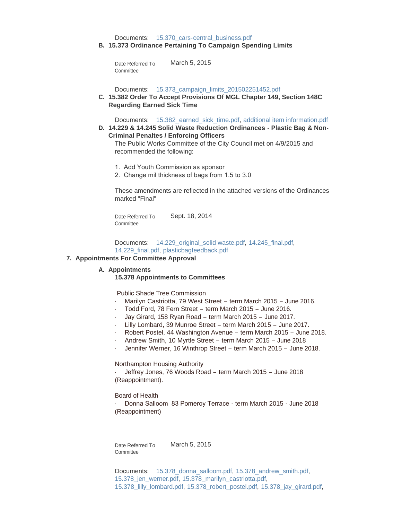Documents: [15.370\\_cars-central\\_business.pdf](http://www.northamptonma.gov/AgendaCenter/ViewFile/Item/823?fileID=29418)

**15.373 Ordinance Pertaining To Campaign Spending Limits B.**

March 5, 2015 Date Referred To **Committee** 

Documents: [15.373\\_campaign\\_limits\\_201502251452.pdf](http://www.northamptonma.gov/AgendaCenter/ViewFile/Item/825?fileID=29420)

**15.382 Order To Accept Provisions Of MGL Chapter 149, Section 148C C. Regarding Earned Sick Time**

Documents: [15.382\\_earned\\_sick\\_time.pdf,](http://www.northamptonma.gov/AgendaCenter/ViewFile/Item/836?fileID=29855) [additional item information.pdf](http://www.northamptonma.gov/AgendaCenter/ViewFile/Item/836?fileID=29856)

**14.229 & 14.245 Solid Waste Reduction Ordinances - Plastic Bag & Non-D. Criminal Penaltes / Enforcing Officers**

The Public Works Committee of the City Council met on 4/9/2015 and recommended the following:

- 1. Add Youth Commission as sponsor
- 2. Change mil thickness of bags from 1.5 to 3.0

These amendments are reflected in the attached versions of the Ordinances marked "Final"

Sept. 18, 2014 Date Referred To **Committee** 

Documents: [14.229\\_original\\_solid waste.pdf](http://www.northamptonma.gov/AgendaCenter/ViewFile/Item/826?fileID=29421), [14.245\\_final.pdf](http://www.northamptonma.gov/AgendaCenter/ViewFile/Item/826?fileID=31826), [14.229\\_final.pdf](http://www.northamptonma.gov/AgendaCenter/ViewFile/Item/826?fileID=31827), [plasticbagfeedback.pdf](http://www.northamptonma.gov/AgendaCenter/ViewFile/Item/826?fileID=31828)

#### **Appointments For Committee Approval 7.**

#### A. Appointments

### **15.378 Appointments to Committees**

Public Shade Tree Commission

- Marilyn Castriotta, 79 West Street term March 2015 June 2016.
- Todd Ford, 78 Fern Street term March 2015 June 2016.
- Jay Girard, 158 Ryan Road term March 2015 June 2017.
- Lilly Lombard, 39 Munroe Street term March 2015 June 2017.
- Robert Postel, 44 Washington Avenue term March 2015 June 2018.
- Andrew Smith, 10 Myrtle Street term March 2015 June 2018
- Jennifer Werner, 16 Winthrop Street term March 2015 June 2018.

Northampton Housing Authority

Jeffrey Jones, 76 Woods Road - term March 2015 - June 2018 (Reappointment).

#### Board of Health

- Donna Salloom 83 Pomeroy Terrace - term March 2015 - June 2018 (Reappointment)

Date Referred To March 5, 2015 **Committee** 

Documents: [15.378\\_donna\\_salloom.pdf,](http://www.northamptonma.gov/AgendaCenter/ViewFile/Item/786?fileID=28793) [15.378\\_andrew\\_smith.pdf,](http://www.northamptonma.gov/AgendaCenter/ViewFile/Item/786?fileID=28794) [15.378\\_jen\\_werner.pdf](http://www.northamptonma.gov/AgendaCenter/ViewFile/Item/786?fileID=28795)[,](http://www.northamptonma.gov/AgendaCenter/ViewFile/Item/786?fileID=28797) [15.378\\_marilyn\\_castriotta.pdf](http://www.northamptonma.gov/AgendaCenter/ViewFile/Item/786?fileID=28796), [15.378\\_lilly\\_lombard.](http://www.northamptonma.gov/AgendaCenter/ViewFile/Item/786?fileID=28800)pdf, [15.378\\_robert\\_postel.pdf,](http://www.northamptonma.gov/AgendaCenter/ViewFile/Item/786?fileID=28798) [15.378\\_jay\\_girard.pdf](http://www.northamptonma.gov/AgendaCenter/ViewFile/Item/786?fileID=28799),